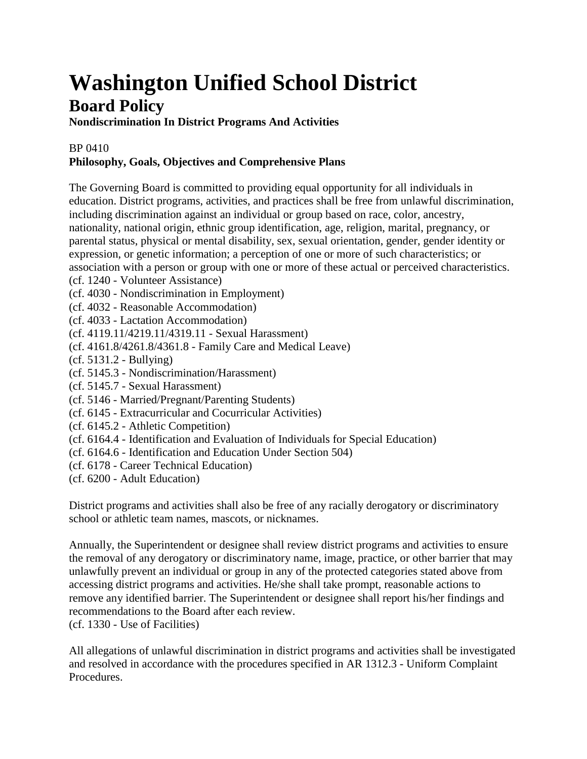## **Washington Unified School District Board Policy**

## **Nondiscrimination In District Programs And Activities**

## BP 0410

## **Philosophy, Goals, Objectives and Comprehensive Plans**

The Governing Board is committed to providing equal opportunity for all individuals in education. District programs, activities, and practices shall be free from unlawful discrimination, including discrimination against an individual or group based on race, color, ancestry, nationality, national origin, ethnic group identification, age, religion, marital, pregnancy, or parental status, physical or mental disability, sex, sexual orientation, gender, gender identity or expression, or genetic information; a perception of one or more of such characteristics; or association with a person or group with one or more of these actual or perceived characteristics. (cf. 1240 - Volunteer Assistance)

- (cf. 4030 Nondiscrimination in Employment)
- (cf. 4032 Reasonable Accommodation)
- (cf. 4033 Lactation Accommodation)
- (cf. 4119.11/4219.11/4319.11 Sexual Harassment)
- (cf. 4161.8/4261.8/4361.8 Family Care and Medical Leave)
- (cf. 5131.2 Bullying)
- (cf. 5145.3 Nondiscrimination/Harassment)
- (cf. 5145.7 Sexual Harassment)
- (cf. 5146 Married/Pregnant/Parenting Students)
- (cf. 6145 Extracurricular and Cocurricular Activities)
- (cf. 6145.2 Athletic Competition)
- (cf. 6164.4 Identification and Evaluation of Individuals for Special Education)
- (cf. 6164.6 Identification and Education Under Section 504)
- (cf. 6178 Career Technical Education)
- (cf. 6200 Adult Education)

District programs and activities shall also be free of any racially derogatory or discriminatory school or athletic team names, mascots, or nicknames.

Annually, the Superintendent or designee shall review district programs and activities to ensure the removal of any derogatory or discriminatory name, image, practice, or other barrier that may unlawfully prevent an individual or group in any of the protected categories stated above from accessing district programs and activities. He/she shall take prompt, reasonable actions to remove any identified barrier. The Superintendent or designee shall report his/her findings and recommendations to the Board after each review.

(cf. 1330 - Use of Facilities)

All allegations of unlawful discrimination in district programs and activities shall be investigated and resolved in accordance with the procedures specified in AR 1312.3 - Uniform Complaint Procedures.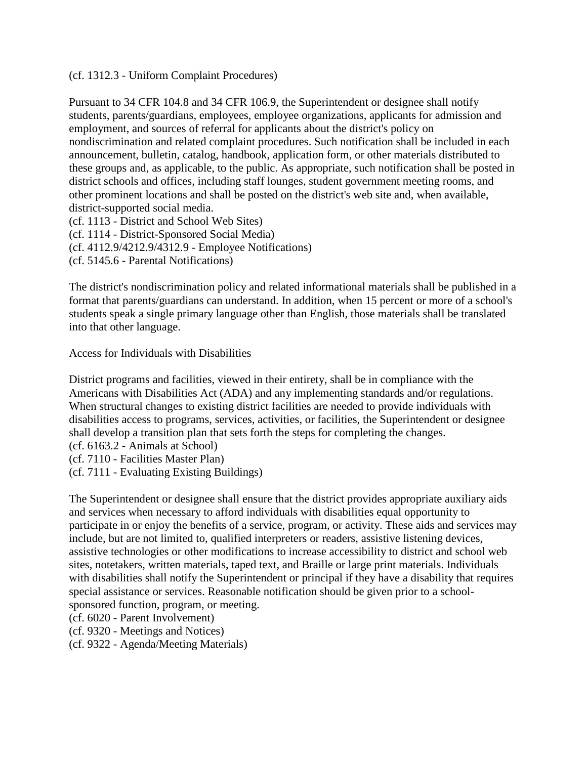(cf. 1312.3 - Uniform Complaint Procedures)

Pursuant to 34 CFR 104.8 and 34 CFR 106.9, the Superintendent or designee shall notify students, parents/guardians, employees, employee organizations, applicants for admission and employment, and sources of referral for applicants about the district's policy on nondiscrimination and related complaint procedures. Such notification shall be included in each announcement, bulletin, catalog, handbook, application form, or other materials distributed to these groups and, as applicable, to the public. As appropriate, such notification shall be posted in district schools and offices, including staff lounges, student government meeting rooms, and other prominent locations and shall be posted on the district's web site and, when available, district-supported social media.

(cf. 1113 - District and School Web Sites) (cf. 1114 - District-Sponsored Social Media) (cf. 4112.9/4212.9/4312.9 - Employee Notifications) (cf. 5145.6 - Parental Notifications)

The district's nondiscrimination policy and related informational materials shall be published in a format that parents/guardians can understand. In addition, when 15 percent or more of a school's students speak a single primary language other than English, those materials shall be translated into that other language.

Access for Individuals with Disabilities

District programs and facilities, viewed in their entirety, shall be in compliance with the Americans with Disabilities Act (ADA) and any implementing standards and/or regulations. When structural changes to existing district facilities are needed to provide individuals with disabilities access to programs, services, activities, or facilities, the Superintendent or designee shall develop a transition plan that sets forth the steps for completing the changes.

(cf. 6163.2 - Animals at School)

(cf. 7110 - Facilities Master Plan)

(cf. 7111 - Evaluating Existing Buildings)

The Superintendent or designee shall ensure that the district provides appropriate auxiliary aids and services when necessary to afford individuals with disabilities equal opportunity to participate in or enjoy the benefits of a service, program, or activity. These aids and services may include, but are not limited to, qualified interpreters or readers, assistive listening devices, assistive technologies or other modifications to increase accessibility to district and school web sites, notetakers, written materials, taped text, and Braille or large print materials. Individuals with disabilities shall notify the Superintendent or principal if they have a disability that requires special assistance or services. Reasonable notification should be given prior to a schoolsponsored function, program, or meeting.

(cf. 6020 - Parent Involvement)

(cf. 9320 - Meetings and Notices)

(cf. 9322 - Agenda/Meeting Materials)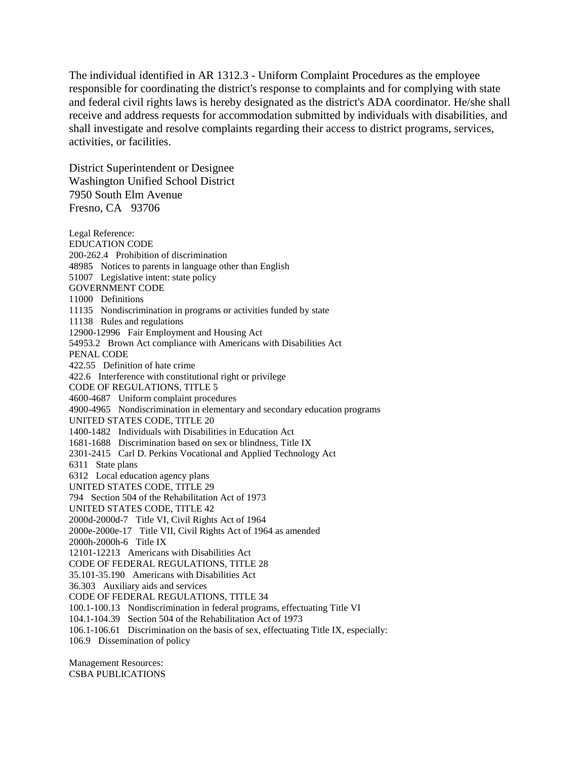The individual identified in AR 1312.3 - Uniform Complaint Procedures as the employee responsible for coordinating the district's response to complaints and for complying with state and federal civil rights laws is hereby designated as the district's ADA coordinator. He/she shall receive and address requests for accommodation submitted by individuals with disabilities, and shall investigate and resolve complaints regarding their access to district programs, services, activities, or facilities.

District Superintendent or Designee Washington Unified School District 7950 South Elm Avenue Fresno, CA 93706

Legal Reference: EDUCATION CODE 200-262.4 Prohibition of discrimination 48985 Notices to parents in language other than English 51007 Legislative intent: state policy GOVERNMENT CODE 11000 Definitions 11135 Nondiscrimination in programs or activities funded by state 11138 Rules and regulations 12900-12996 Fair Employment and Housing Act 54953.2 Brown Act compliance with Americans with Disabilities Act PENAL CODE 422.55 Definition of hate crime 422.6 Interference with constitutional right or privilege CODE OF REGULATIONS, TITLE 5 4600-4687 Uniform complaint procedures 4900-4965 Nondiscrimination in elementary and secondary education programs UNITED STATES CODE, TITLE 20 1400-1482 Individuals with Disabilities in Education Act 1681-1688 Discrimination based on sex or blindness, Title IX 2301-2415 Carl D. Perkins Vocational and Applied Technology Act 6311 State plans 6312 Local education agency plans UNITED STATES CODE, TITLE 29 794 Section 504 of the Rehabilitation Act of 1973 UNITED STATES CODE, TITLE 42 2000d-2000d-7 Title VI, Civil Rights Act of 1964 2000e-2000e-17 Title VII, Civil Rights Act of 1964 as amended 2000h-2000h-6 Title IX 12101-12213 Americans with Disabilities Act CODE OF FEDERAL REGULATIONS, TITLE 28 35.101-35.190 Americans with Disabilities Act 36.303 Auxiliary aids and services CODE OF FEDERAL REGULATIONS, TITLE 34 100.1-100.13 Nondiscrimination in federal programs, effectuating Title VI 104.1-104.39 Section 504 of the Rehabilitation Act of 1973 106.1-106.61 Discrimination on the basis of sex, effectuating Title IX, especially: 106.9 Dissemination of policy

Management Resources: CSBA PUBLICATIONS